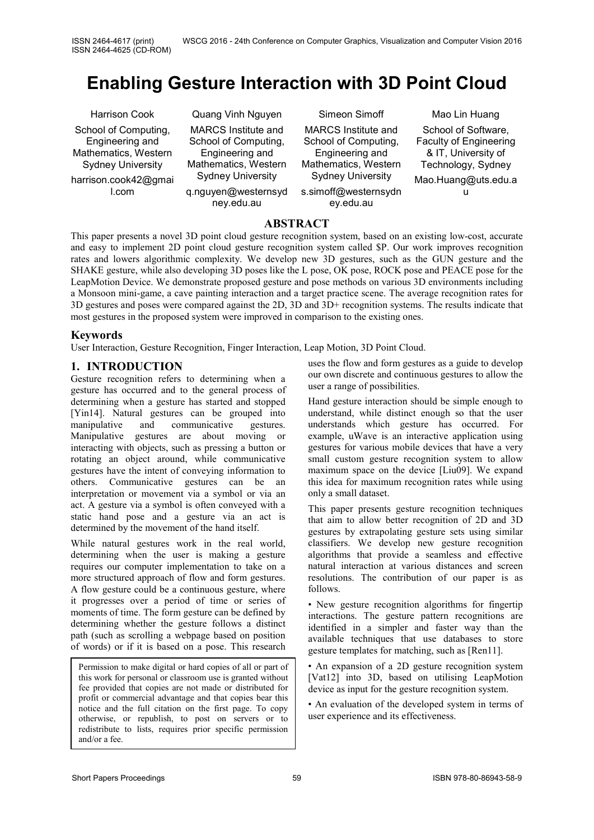# **Enabling Gesture Interaction with 3D Point Cloud**

Harrison Cook School of Computing, Engineering and Mathematics, Western Sydney University harrison.cook42@gmai l.com

Quang Vinh Nguyen MARCS Institute and School of Computing, Engineering and Mathematics, Western Sydney University q.nguyen@westernsyd

ney.edu.au

Simeon Simoff MARCS Institute and School of Computing, Engineering and Mathematics, Western Sydney University

s.simoff@westernsydn ey.edu.au

Mao Lin Huang School of Software, Faculty of Engineering & IT, University of Technology, Sydney Mao.Huang@uts.edu.a u

## **ABSTRACT**

This paper presents a novel 3D point cloud gesture recognition system, based on an existing low-cost, accurate and easy to implement 2D point cloud gesture recognition system called \$P. Our work improves recognition rates and lowers algorithmic complexity. We develop new 3D gestures, such as the GUN gesture and the SHAKE gesture, while also developing 3D poses like the L pose, OK pose, ROCK pose and PEACE pose for the LeapMotion Device. We demonstrate proposed gesture and pose methods on various 3D environments including a Monsoon mini-game, a cave painting interaction and a target practice scene. The average recognition rates for 3D gestures and poses were compared against the 2D, 3D and 3D+ recognition systems. The results indicate that most gestures in the proposed system were improved in comparison to the existing ones.

#### **Keywords**

User Interaction, Gesture Recognition, Finger Interaction, Leap Motion, 3D Point Cloud.

## **1. INTRODUCTION**

Gesture recognition refers to determining when a gesture has occurred and to the general process of determining when a gesture has started and stopped [Yin14]. Natural gestures can be grouped into manipulative and communicative gestures. Manipulative gestures are about moving or interacting with objects, such as pressing a button or rotating an object around, while communicative gestures have the intent of conveying information to others. Communicative gestures can be an interpretation or movement via a symbol or via an act. A gesture via a symbol is often conveyed with a static hand pose and a gesture via an act is determined by the movement of the hand itself.

While natural gestures work in the real world, determining when the user is making a gesture requires our computer implementation to take on a more structured approach of flow and form gestures. A flow gesture could be a continuous gesture, where it progresses over a period of time or series of moments of time. The form gesture can be defined by determining whether the gesture follows a distinct path (such as scrolling a webpage based on position of words) or if it is based on a pose. This research

Permission to make digital or hard copies of all or part of this work for personal or classroom use is granted without fee provided that copies are not made or distributed for profit or commercial advantage and that copies bear this notice and the full citation on the first page. To copy otherwise, or republish, to post on servers or to redistribute to lists, requires prior specific permission and/or a fee.

uses the flow and form gestures as a guide to develop our own discrete and continuous gestures to allow the user a range of possibilities.

Hand gesture interaction should be simple enough to understand, while distinct enough so that the user understands which gesture has occurred. For example, uWave is an interactive application using gestures for various mobile devices that have a very small custom gesture recognition system to allow maximum space on the device [Liu09]. We expand this idea for maximum recognition rates while using only a small dataset.

This paper presents gesture recognition techniques that aim to allow better recognition of 2D and 3D gestures by extrapolating gesture sets using similar classifiers. We develop new gesture recognition algorithms that provide a seamless and effective natural interaction at various distances and screen resolutions. The contribution of our paper is as follows.

• New gesture recognition algorithms for fingertip interactions. The gesture pattern recognitions are identified in a simpler and faster way than the available techniques that use databases to store gesture templates for matching, such as [Ren11].

• An expansion of a 2D gesture recognition system [Vat12] into 3D, based on utilising LeapMotion device as input for the gesture recognition system.

• An evaluation of the developed system in terms of user experience and its effectiveness.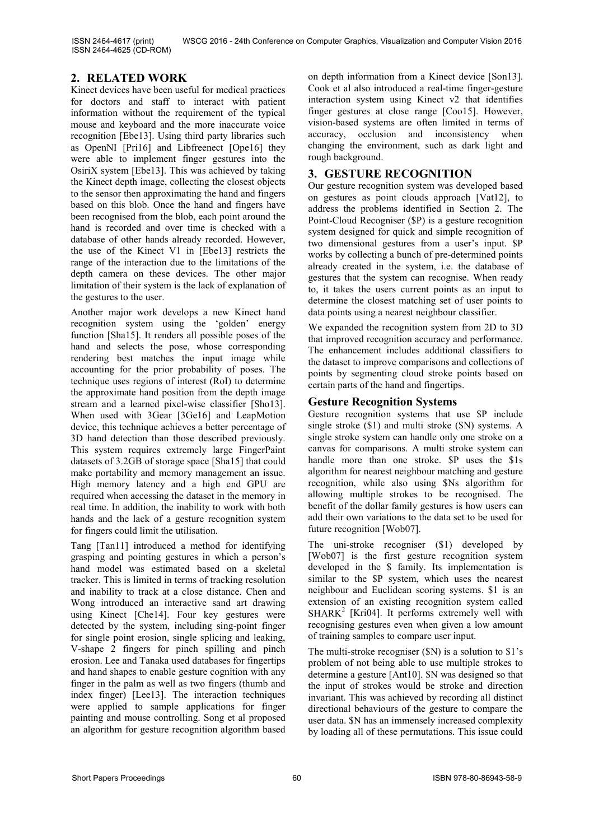ISSN 2464-4617 (print) ISSN 2464-4625 (CD-ROM)

## <span id="page-1-0"></span>**2. RELATED WORK**

Kinect devices have been useful for medical practices for doctors and staff to interact with patient information without the requirement of the typical mouse and keyboard and the more inaccurate voice recognition [Ebe13]. Using third party libraries such as OpenNI [Pri16] and Libfreenect [Ope16] they were able to implement finger gestures into the OsiriX system [Ebe13]. This was achieved by taking the Kinect depth image, collecting the closest objects to the sensor then approximating the hand and fingers based on this blob. Once the hand and fingers have been recognised from the blob, each point around the hand is recorded and over time is checked with a database of other hands already recorded. However, the use of the Kinect V1 in [Ebe13] restricts the range of the interaction due to the limitations of the depth camera on these devices. The other major limitation of their system is the lack of explanation of the gestures to the user.

Another major work develops a new Kinect hand recognition system using the 'golden' energy function [Sha15]. It renders all possible poses of the hand and selects the pose, whose corresponding rendering best matches the input image while accounting for the prior probability of poses. The technique uses regions of interest (RoI) to determine the approximate hand position from the depth image stream and a learned pixel-wise classifier [Sho13]. When used with 3Gear [3Ge16] and LeapMotion device, this technique achieves a better percentage of 3D hand detection than those described previously. This system requires extremely large FingerPaint datasets of 3.2GB of storage space [Sha15] that could make portability and memory management an issue. High memory latency and a high end GPU are required when accessing the dataset in the memory in real time. In addition, the inability to work with both hands and the lack of a gesture recognition system for fingers could limit the utilisation.

Tang [Tan11] introduced a method for identifying grasping and pointing gestures in which a person's hand model was estimated based on a skeletal tracker. This is limited in terms of tracking resolution and inability to track at a close distance. Chen and Wong introduced an interactive sand art drawing using Kinect [Che14]. Four key gestures were detected by the system, including sing-point finger for single point erosion, single splicing and leaking, V-shape 2 fingers for pinch spilling and pinch erosion. Lee and Tanaka used databases for fingertips and hand shapes to enable gesture cognition with any finger in the palm as well as two fingers (thumb and index finger) [Lee13]. The interaction techniques were applied to sample applications for finger painting and mouse controlling. Song et al proposed an algorithm for gesture recognition algorithm based

on depth information from a Kinect device [Son13]. Cook et al also introduced a real-time finger-gesture interaction system using Kinect v2 that identifies finger gestures at close range [Coo15]. However, vision-based systems are often limited in terms of accuracy, occlusion and inconsistency when changing the environment, such as dark light and rough background.

## **3. GESTURE RECOGNITION**

Our gesture recognition system was developed based on gestures as point clouds approach [Vat12], to address the problems identified in Section [2.](#page-1-0) The Point-Cloud Recogniser (\$P) is a gesture recognition system designed for quick and simple recognition of two dimensional gestures from a user's input. \$P works by collecting a bunch of pre-determined points already created in the system, i.e. the database of gestures that the system can recognise. When ready to, it takes the users current points as an input to determine the closest matching set of user points to data points using a nearest neighbour classifier.

We expanded the recognition system from 2D to 3D that improved recognition accuracy and performance. The enhancement includes additional classifiers to the dataset to improve comparisons and collections of points by segmenting cloud stroke points based on certain parts of the hand and fingertips.

## **Gesture Recognition Systems**

Gesture recognition systems that use \$P include single stroke (\$1) and multi stroke (\$N) systems. A single stroke system can handle only one stroke on a canvas for comparisons. A multi stroke system can handle more than one stroke. \$P uses the \$1s algorithm for nearest neighbour matching and gesture recognition, while also using \$Ns algorithm for allowing multiple strokes to be recognised. The benefit of the dollar family gestures is how users can add their own variations to the data set to be used for future recognition [Wob07].

The uni-stroke recogniser (\$1) developed by [Wob07] is the first gesture recognition system developed in the \$ family. Its implementation is similar to the \$P system, which uses the nearest neighbour and Euclidean scoring systems. \$1 is an extension of an existing recognition system called  $SHARK<sup>2</sup>$  [Kri04]. It performs extremely well with recognising gestures even when given a low amount of training samples to compare user input.

The multi-stroke recogniser (\$N) is a solution to \$1's problem of not being able to use multiple strokes to determine a gesture [Ant10]. \$N was designed so that the input of strokes would be stroke and direction invariant. This was achieved by recording all distinct directional behaviours of the gesture to compare the user data. \$N has an immensely increased complexity by loading all of these permutations. This issue could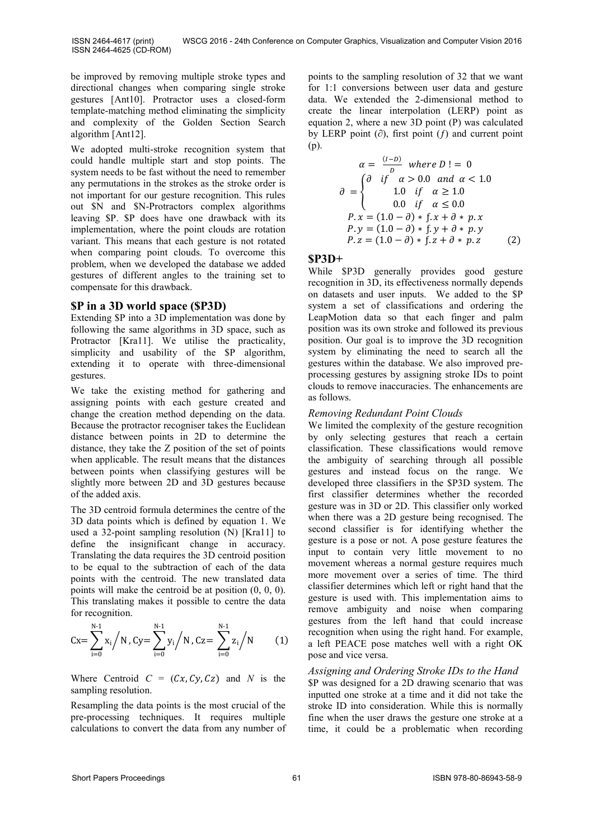be improved by removing multiple stroke types and directional changes when comparing single stroke gestures [Ant10]. Protractor uses a closed-form template-matching method eliminating the simplicity and complexity of the Golden Section Search algorithm [Ant12].

We adopted multi-stroke recognition system that could handle multiple start and stop points. The system needs to be fast without the need to remember any permutations in the strokes as the stroke order is not important for our gesture recognition. This rules out \$N and \$N-Protractors complex algorithms leaving \$P. \$P does have one drawback with its implementation, where the point clouds are rotation variant. This means that each gesture is not rotated when comparing point clouds. To overcome this problem, when we developed the database we added gestures of different angles to the training set to compensate for this drawback.

#### **\$P in a 3D world space (\$P3D)**

Extending \$P into a 3D implementation was done by following the same algorithms in 3D space, such as Protractor [Kra11]. We utilise the practicality, simplicity and usability of the \$P algorithm, extending it to operate with three-dimensional gestures.

We take the existing method for gathering and assigning points with each gesture created and change the creation method depending on the data. Because the protractor recogniser takes the Euclidean distance between points in 2D to determine the distance, they take the Z position of the set of points when applicable. The result means that the distances between points when classifying gestures will be slightly more between 2D and 3D gestures because of the added axis.

The 3D centroid formula determines the centre of the 3D data points which is defined by equation 1. We used a 32-point sampling resolution (N) [Kra11] to define the insignificant change in accuracy. Translating the data requires the 3D centroid position to be equal to the subtraction of each of the data points with the centroid. The new translated data points will make the centroid be at position (0, 0, 0). This translating makes it possible to centre the data for recognition.

$$
Cx = \sum_{i=0}^{N-1} x_i / N, Cy = \sum_{i=0}^{N-1} y_i / N, Cz = \sum_{i=0}^{N-1} z_i / N \qquad (1)
$$

Where Centroid  $C = (Cx, Cy, Cz)$  and *N* is the sampling resolution.

Resampling the data points is the most crucial of the pre-processing techniques. It requires multiple calculations to convert the data from any number of

points to the sampling resolution of 32 that we want for 1:1 conversions between user data and gesture data. We extended the 2-dimensional method to create the linear interpolation (LERP) point as equation 2, where a new 3D point (P) was calculated by LERP point  $(∂)$ , first point  $(f)$  and current point (p).

$$
\alpha = \frac{(I-D)}{D} \text{ where } D! = 0
$$
  
\n
$$
\partial = \begin{cases}\n\frac{\partial}{\partial r} & \text{if } \alpha > 0.0 \text{ and } \alpha < 1.0 \\
1.0 & \text{if } \alpha \ge 1.0 \\
0.0 & \text{if } \alpha \le 0.0\n\end{cases}
$$
  
\n
$$
P.x = (1.0 - \partial) * f.x + \partial * p.x
$$
  
\n
$$
P.y = (1.0 - \partial) * f.y + \partial * p.y
$$
  
\n
$$
P.z = (1.0 - \partial) * f.z + \partial * p.z
$$
 (2)

#### **\$P3D+**

While \$P3D generally provides good gesture recognition in 3D, its effectiveness normally depends on datasets and user inputs. We added to the \$P system a set of classifications and ordering the LeapMotion data so that each finger and palm position was its own stroke and followed its previous position. Our goal is to improve the 3D recognition system by eliminating the need to search all the gestures within the database. We also improved preprocessing gestures by assigning stroke IDs to point clouds to remove inaccuracies. The enhancements are as follows.

#### *Removing Redundant Point Clouds*

We limited the complexity of the gesture recognition by only selecting gestures that reach a certain classification. These classifications would remove the ambiguity of searching through all possible gestures and instead focus on the range. We developed three classifiers in the \$P3D system. The first classifier determines whether the recorded gesture was in 3D or 2D. This classifier only worked when there was a 2D gesture being recognised. The second classifier is for identifying whether the gesture is a pose or not. A pose gesture features the input to contain very little movement to no movement whereas a normal gesture requires much more movement over a series of time. The third classifier determines which left or right hand that the gesture is used with. This implementation aims to remove ambiguity and noise when comparing gestures from the left hand that could increase recognition when using the right hand. For example, a left PEACE pose matches well with a right OK pose and vice versa.

#### *Assigning and Ordering Stroke IDs to the Hand*

\$P was designed for a 2D drawing scenario that was inputted one stroke at a time and it did not take the stroke ID into consideration. While this is normally fine when the user draws the gesture one stroke at a time, it could be a problematic when recording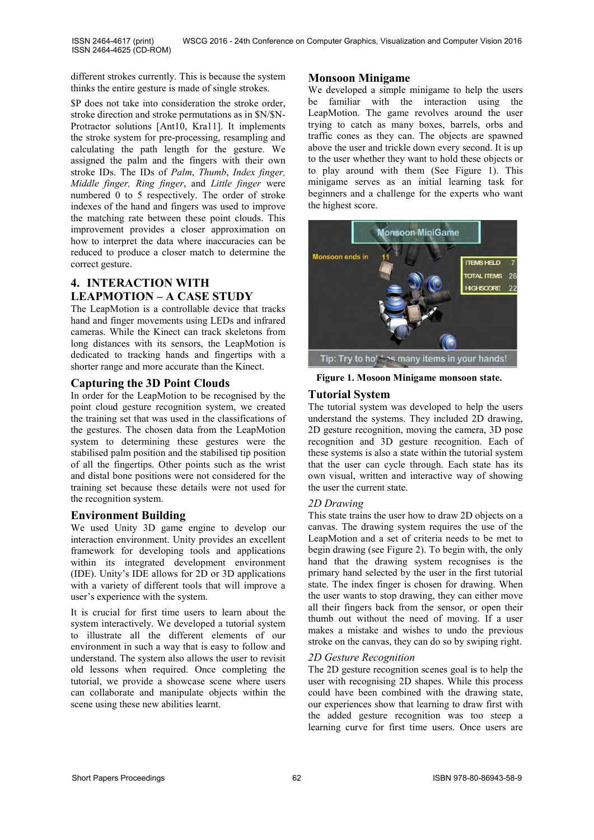different strokes currently. This is because the system thinks the entire gesture is made of single strokes.

\$P does not take into consideration the stroke order, stroke direction and stroke permutations as in \$N/\$N-Protractor solutions [Ant10, Kra11]. It implements the stroke system for pre-processing, resampling and calculating the path length for the gesture. We assigned the palm and the fingers with their own stroke IDs. The IDs of *Palm*, *Thumb*, *Index finger, Middle finger, Ring finger*, and *Little finger* were numbered 0 to 5 respectively. The order of stroke indexes of the hand and fingers was used to improve the matching rate between these point clouds. This improvement provides a closer approximation on how to interpret the data where inaccuracies can be reduced to produce a closer match to determine the correct gesture.

# **4. INTERACTION WITH LEAPMOTION – A CASE STUDY**

The LeapMotion is a controllable device that tracks hand and finger movements using LEDs and infrared cameras. While the Kinect can track skeletons from long distances with its sensors, the LeapMotion is dedicated to tracking hands and fingertips with a shorter range and more accurate than the Kinect.

## **Capturing the 3D Point Clouds**

In order for the LeapMotion to be recognised by the point cloud gesture recognition system, we created the training set that was used in the classifications of the gestures. The chosen data from the LeapMotion system to determining these gestures were the stabilised palm position and the stabilised tip position of all the fingertips. Other points such as the wrist and distal bone positions were not considered for the training set because these details were not used for the recognition system.

## **Environment Building**

We used Unity 3D game engine to develop our interaction environment. Unity provides an excellent framework for developing tools and applications within its integrated development environment (IDE). Unity's IDE allows for 2D or 3D applications with a variety of different tools that will improve a user's experience with the system.

It is crucial for first time users to learn about the system interactively. We developed a tutorial system to illustrate all the different elements of our environment in such a way that is easy to follow and understand. The system also allows the user to revisit old lessons when required. Once completing the tutorial, we provide a showcase scene where users can collaborate and manipulate objects within the scene using these new abilities learnt.

## **Monsoon Minigame**

We developed a simple minigame to help the users be familiar with the interaction using the LeapMotion. The game revolves around the user trying to catch as many boxes, barrels, orbs and traffic cones as they can. The objects are spawned above the user and trickle down every second. It is up to the user whether they want to hold these objects or to play around with them (See Figure 1). This minigame serves as an initial learning task for beginners and a challenge for the experts who want the highest score.



**Figure 1. Mosoon Minigame monsoon state.**

## **Tutorial System**

The tutorial system was developed to help the users understand the systems. They included 2D drawing, 2D gesture recognition, moving the camera, 3D pose recognition and 3D gesture recognition. Each of these systems is also a state within the tutorial system that the user can cycle through. Each state has its own visual, written and interactive way of showing the user the current state.

## *2D Drawing*

This state trains the user how to draw 2D objects on a canvas. The drawing system requires the use of the LeapMotion and a set of criteria needs to be met to begin drawing (see Figure 2). To begin with, the only hand that the drawing system recognises is the primary hand selected by the user in the first tutorial state. The index finger is chosen for drawing. When the user wants to stop drawing, they can either move all their fingers back from the sensor, or open their thumb out without the need of moving. If a user makes a mistake and wishes to undo the previous stroke on the canvas, they can do so by swiping right.

## *2D Gesture Recognition*

The 2D gesture recognition scenes goal is to help the user with recognising 2D shapes. While this process could have been combined with the drawing state, our experiences show that learning to draw first with the added gesture recognition was too steep a learning curve for first time users. Once users are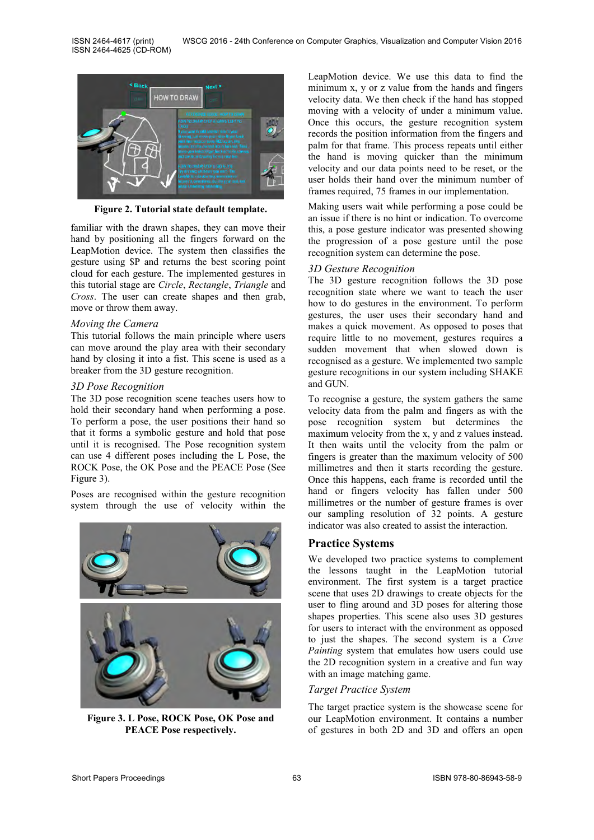

**Figure 2. Tutorial state default template.**

familiar with the drawn shapes, they can move their hand by positioning all the fingers forward on the LeapMotion device. The system then classifies the gesture using \$P and returns the best scoring point cloud for each gesture. The implemented gestures in this tutorial stage are *Circle*, *Rectangle*, *Triangle* and *Cross*. The user can create shapes and then grab, move or throw them away.

#### *Moving the Camera*

This tutorial follows the main principle where users can move around the play area with their secondary hand by closing it into a fist. This scene is used as a breaker from the 3D gesture recognition.

#### *3D Pose Recognition*

The 3D pose recognition scene teaches users how to hold their secondary hand when performing a pose. To perform a pose, the user positions their hand so that it forms a symbolic gesture and hold that pose until it is recognised. The Pose recognition system can use 4 different poses including the L Pose, the ROCK Pose, the OK Pose and the PEACE Pose (See Figure 3).

Poses are recognised within the gesture recognition system through the use of velocity within the



**Figure 3. L Pose, ROCK Pose, OK Pose and PEACE Pose respectively.**

LeapMotion device. We use this data to find the minimum x, y or z value from the hands and fingers velocity data. We then check if the hand has stopped moving with a velocity of under a minimum value. Once this occurs, the gesture recognition system records the position information from the fingers and palm for that frame. This process repeats until either the hand is moving quicker than the minimum velocity and our data points need to be reset, or the user holds their hand over the minimum number of frames required, 75 frames in our implementation.

Making users wait while performing a pose could be an issue if there is no hint or indication. To overcome this, a pose gesture indicator was presented showing the progression of a pose gesture until the pose recognition system can determine the pose.

#### *3D Gesture Recognition*

The 3D gesture recognition follows the 3D pose recognition state where we want to teach the user how to do gestures in the environment. To perform gestures, the user uses their secondary hand and makes a quick movement. As opposed to poses that require little to no movement, gestures requires a sudden movement that when slowed down is recognised as a gesture. We implemented two sample gesture recognitions in our system including SHAKE and GUN.

To recognise a gesture, the system gathers the same velocity data from the palm and fingers as with the pose recognition system but determines the maximum velocity from the x, y and z values instead. It then waits until the velocity from the palm or fingers is greater than the maximum velocity of 500 millimetres and then it starts recording the gesture. Once this happens, each frame is recorded until the hand or fingers velocity has fallen under 500 millimetres or the number of gesture frames is over our sampling resolution of 32 points. A gesture indicator was also created to assist the interaction.

## **Practice Systems**

We developed two practice systems to complement the lessons taught in the LeapMotion tutorial environment. The first system is a target practice scene that uses 2D drawings to create objects for the user to fling around and 3D poses for altering those shapes properties. This scene also uses 3D gestures for users to interact with the environment as opposed to just the shapes. The second system is a *Cave Painting* system that emulates how users could use the 2D recognition system in a creative and fun way with an image matching game.

#### *Target Practice System*

The target practice system is the showcase scene for our LeapMotion environment. It contains a number of gestures in both 2D and 3D and offers an open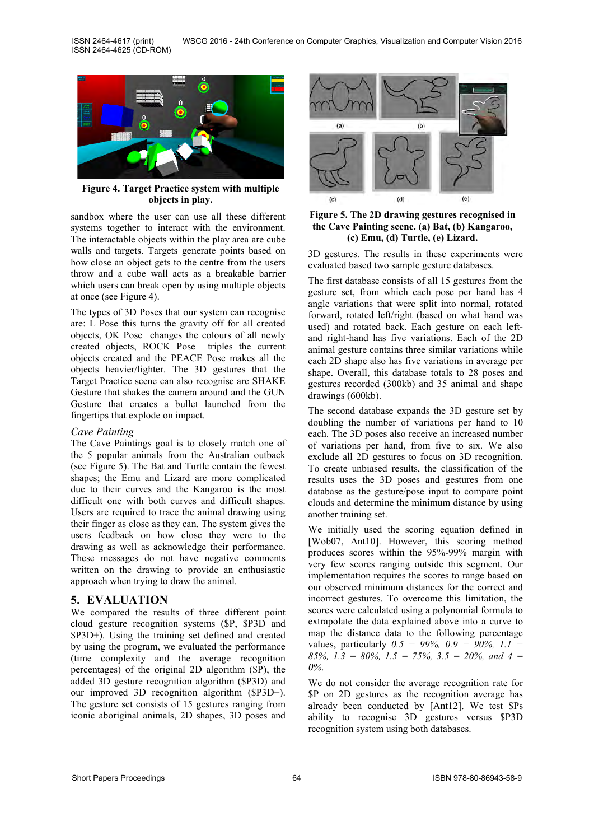

**Figure 4. Target Practice system with multiple objects in play.**

sandbox where the user can use all these different systems together to interact with the environment. The interactable objects within the play area are cube walls and targets. Targets generate points based on how close an object gets to the centre from the users throw and a cube wall acts as a breakable barrier which users can break open by using multiple objects at once (see Figure 4).

The types of 3D Poses that our system can recognise are: L Pose this turns the gravity off for all created objects, OK Pose changes the colours of all newly created objects, ROCK Pose triples the current objects created and the PEACE Pose makes all the objects heavier/lighter. The 3D gestures that the Target Practice scene can also recognise are SHAKE Gesture that shakes the camera around and the GUN Gesture that creates a bullet launched from the fingertips that explode on impact.

#### *Cave Painting*

The Cave Paintings goal is to closely match one of the 5 popular animals from the Australian outback (see Figure 5). The Bat and Turtle contain the fewest shapes; the Emu and Lizard are more complicated due to their curves and the Kangaroo is the most difficult one with both curves and difficult shapes. Users are required to trace the animal drawing using their finger as close as they can. The system gives the users feedback on how close they were to the drawing as well as acknowledge their performance. These messages do not have negative comments written on the drawing to provide an enthusiastic approach when trying to draw the animal.

## **5. EVALUATION**

We compared the results of three different point cloud gesture recognition systems (\$P, \$P3D and \$P3D+). Using the training set defined and created by using the program, we evaluated the performance (time complexity and the average recognition percentages) of the original 2D algorithm (\$P), the added 3D gesture recognition algorithm (\$P3D) and our improved 3D recognition algorithm (\$P3D+). The gesture set consists of 15 gestures ranging from iconic aboriginal animals, 2D shapes, 3D poses and



**Figure 5. The 2D drawing gestures recognised in the Cave Painting scene. (a) Bat, (b) Kangaroo, (c) Emu, (d) Turtle, (e) Lizard.**

3D gestures. The results in these experiments were evaluated based two sample gesture databases.

The first database consists of all 15 gestures from the gesture set, from which each pose per hand has 4 angle variations that were split into normal, rotated forward, rotated left/right (based on what hand was used) and rotated back. Each gesture on each leftand right-hand has five variations. Each of the 2D animal gesture contains three similar variations while each 2D shape also has five variations in average per shape. Overall, this database totals to 28 poses and gestures recorded (300kb) and 35 animal and shape drawings (600kb).

The second database expands the 3D gesture set by doubling the number of variations per hand to 10 each. The 3D poses also receive an increased number of variations per hand, from five to six. We also exclude all 2D gestures to focus on 3D recognition. To create unbiased results, the classification of the results uses the 3D poses and gestures from one database as the gesture/pose input to compare point clouds and determine the minimum distance by using another training set.

We initially used the scoring equation defined in [Wob07, Ant10]. However, this scoring method produces scores within the 95%-99% margin with very few scores ranging outside this segment. Our implementation requires the scores to range based on our observed minimum distances for the correct and incorrect gestures. To overcome this limitation, the scores were calculated using a polynomial formula to extrapolate the data explained above into a curve to map the distance data to the following percentage values, particularly *0.5 = 99%, 0.9 = 90%, 1.1 = 85%, 1.3 = 80%, 1.5 = 75%, 3.5 = 20%, and 4 = 0%*.

We do not consider the average recognition rate for \$P on 2D gestures as the recognition average has already been conducted by [Ant12]. We test \$Ps ability to recognise 3D gestures versus \$P3D recognition system using both databases.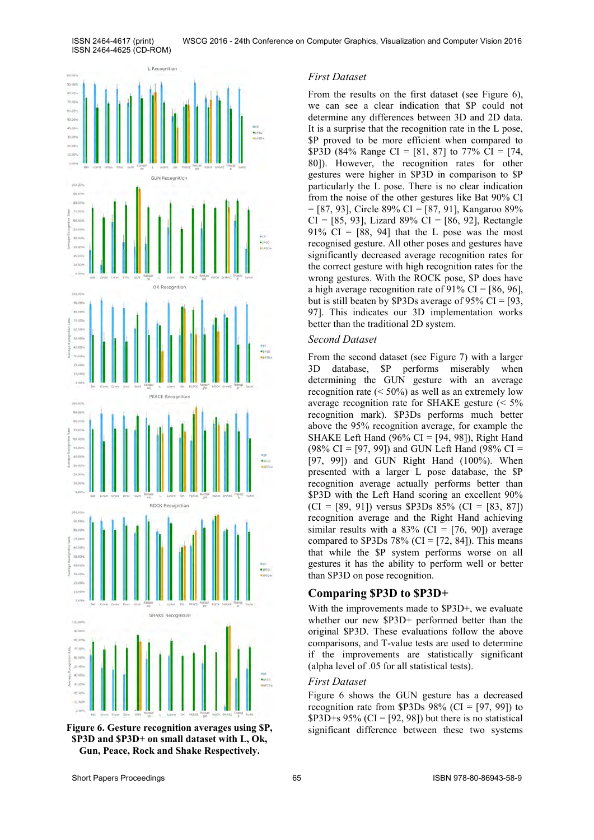ISSN 2464-4617 (print) ISSN 2464-4625 (CD-ROM)



**Gun, Peace, Rock and Shake Respectively. \$P3D and \$P3D+ on small dataset with L, Ok,** 

#### *First Dataset*

From the results on the first dataset (see Figure 6), we can see a clear indication that \$P could not determine any differences between 3D and 2D data. It is a surprise that the recognition rate in the L pose, \$P proved to be more efficient when compared to \$P3D (84% Range CI = [81, 87] to 77% CI = [74, 80]). However, the recognition rates for other gestures were higher in \$P3D in comparison to \$P particularly the L pose. There is no clear indication from the noise of the other gestures like Bat 90% CI = [87, 93], Circle 89% CI = [87, 91], Kangaroo 89%  $CI = [85, 93]$ , Lizard 89%  $CI = [86, 92]$ , Rectangle 91%  $CI = [88, 94]$  that the L pose was the most recognised gesture. All other poses and gestures have significantly decreased average recognition rates for the correct gesture with high recognition rates for the wrong gestures. With the ROCK pose, \$P does have a high average recognition rate of  $91\%$  CI = [86, 96], but is still beaten by \$P3Ds average of 95% CI = [93, 97]. This indicates our 3D implementation works better than the traditional 2D system.

#### *Second Dataset*

From the second dataset (see Figure 7) with a larger 3D database, \$P performs miserably when determining the GUN gesture with an average recognition rate  $(< 50\%)$  as well as an extremely low average recognition rate for SHAKE gesture (< 5% recognition mark). \$P3Ds performs much better above the 95% recognition average, for example the SHAKE Left Hand (96% CI = [94, 98]), Right Hand (98% CI = [97, 99]) and GUN Left Hand (98% CI = [97, 99]) and GUN Right Hand (100%). When presented with a larger L pose database, the \$P recognition average actually performs better than \$P3D with the Left Hand scoring an excellent 90%  $(CI = [89, 91])$  versus \$P3Ds 85%  $(CI = [83, 87])$ recognition average and the Right Hand achieving similar results with a  $83\%$  (CI = [76, 90]) average compared to  $$P3Ds 78\%$  (CI = [72, 84]). This means that while the \$P system performs worse on all gestures it has the ability to perform well or better than \$P3D on pose recognition.

#### **Comparing \$P3D to \$P3D+**

With the improvements made to \$P3D+, we evaluate whether our new \$P3D+ performed better than the original \$P3D. These evaluations follow the above comparisons, and T-value tests are used to determine if the improvements are statistically significant (alpha level of .05 for all statistical tests).

#### *First Dataset*

Figure 6 shows the GUN gesture has a decreased recognition rate from \$P3Ds  $98\%$  (CI = [97, 99]) to  $$P3D+s 95\% (CI = [92, 98])$  but there is no statistical **Figure 6. Gesture recognition averages using SP,** significant difference between these two systems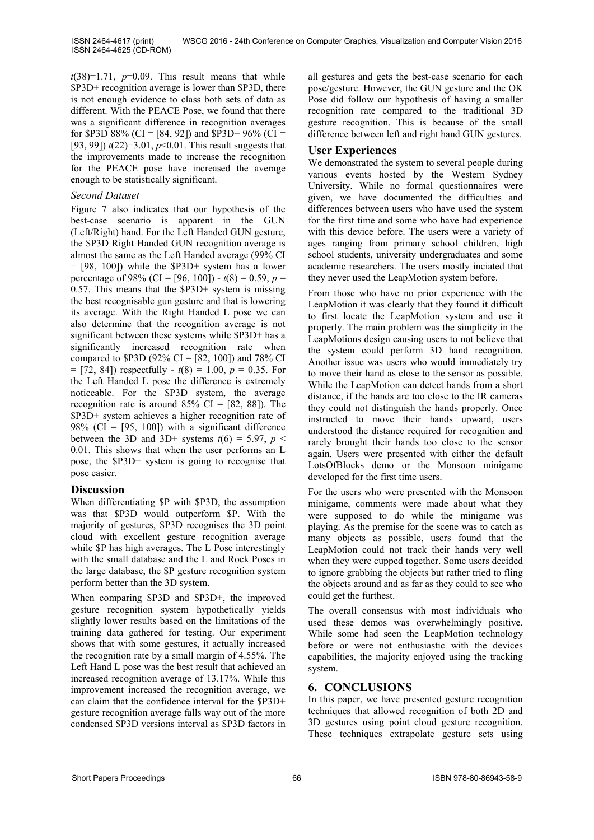ISSN 2464-4617 (print) ISSN 2464-4625 (CD-ROM)

 $t(38)=1.71$ ,  $p=0.09$ . This result means that while \$P3D+ recognition average is lower than \$P3D, there is not enough evidence to class both sets of data as different. With the PEACE Pose, we found that there was a significant difference in recognition averages for \$P3D 88% (CI = [84, 92]) and \$P3D+ 96% (CI = [93, 99]) *t*(22)=3.01, *p*<0.01. This result suggests that the improvements made to increase the recognition for the PEACE pose have increased the average enough to be statistically significant.

## *Second Dataset*

Figure 7 also indicates that our hypothesis of the best-case scenario is apparent in the GUN (Left/Right) hand. For the Left Handed GUN gesture, the \$P3D Right Handed GUN recognition average is almost the same as the Left Handed average (99% CI  $=$  [98, 100]) while the \$P3D+ system has a lower percentage of 98% (CI = [96, 100]) -  $t(8) = 0.59$ ,  $p =$ 0.57. This means that the \$P3D+ system is missing the best recognisable gun gesture and that is lowering its average. With the Right Handed L pose we can also determine that the recognition average is not significant between these systems while \$P3D+ has a significantly increased recognition rate when compared to \$P3D (92% CI = [82, 100]) and 78% CI  $=$  [72, 84]) respectfully -  $t(8) = 1.00$ ,  $p = 0.35$ . For the Left Handed L pose the difference is extremely noticeable. For the \$P3D system, the average recognition rate is around  $85\%$  CI = [82, 88]). The \$P3D+ system achieves a higher recognition rate of 98% (CI =  $[95, 100]$ ) with a significant difference between the 3D and 3D+ systems  $t(6) = 5.97$ ,  $p <$ 0.01. This shows that when the user performs an L pose, the \$P3D+ system is going to recognise that pose easier.

## **Discussion**

When differentiating \$P with \$P3D, the assumption was that \$P3D would outperform \$P. With the majority of gestures, \$P3D recognises the 3D point cloud with excellent gesture recognition average while \$P has high averages. The L Pose interestingly with the small database and the L and Rock Poses in the large database, the \$P gesture recognition system perform better than the 3D system.

When comparing \$P3D and \$P3D<sup>+</sup>, the improved gesture recognition system hypothetically yields slightly lower results based on the limitations of the training data gathered for testing. Our experiment shows that with some gestures, it actually increased the recognition rate by a small margin of 4.55%. The Left Hand L pose was the best result that achieved an increased recognition average of 13.17%. While this improvement increased the recognition average, we can claim that the confidence interval for the \$P3D+ gesture recognition average falls way out of the more condensed \$P3D versions interval as \$P3D factors in

all gestures and gets the best-case scenario for each pose/gesture. However, the GUN gesture and the OK Pose did follow our hypothesis of having a smaller recognition rate compared to the traditional 3D gesture recognition. This is because of the small difference between left and right hand GUN gestures.

## **User Experiences**

We demonstrated the system to several people during various events hosted by the Western Sydney University. While no formal questionnaires were given, we have documented the difficulties and differences between users who have used the system for the first time and some who have had experience with this device before. The users were a variety of ages ranging from primary school children, high school students, university undergraduates and some academic researchers. The users mostly inciated that they never used the LeapMotion system before.

From those who have no prior experience with the LeapMotion it was clearly that they found it difficult to first locate the LeapMotion system and use it properly. The main problem was the simplicity in the LeapMotions design causing users to not believe that the system could perform 3D hand recognition. Another issue was users who would immediately try to move their hand as close to the sensor as possible. While the LeapMotion can detect hands from a short distance, if the hands are too close to the IR cameras they could not distinguish the hands properly. Once instructed to move their hands upward, users understood the distance required for recognition and rarely brought their hands too close to the sensor again. Users were presented with either the default LotsOfBlocks demo or the Monsoon minigame developed for the first time users.

For the users who were presented with the Monsoon minigame, comments were made about what they were supposed to do while the minigame was playing. As the premise for the scene was to catch as many objects as possible, users found that the LeapMotion could not track their hands very well when they were cupped together. Some users decided to ignore grabbing the objects but rather tried to fling the objects around and as far as they could to see who could get the furthest.

The overall consensus with most individuals who used these demos was overwhelmingly positive. While some had seen the LeapMotion technology before or were not enthusiastic with the devices capabilities, the majority enjoyed using the tracking system.

## **6. CONCLUSIONS**

In this paper, we have presented gesture recognition techniques that allowed recognition of both 2D and 3D gestures using point cloud gesture recognition. These techniques extrapolate gesture sets using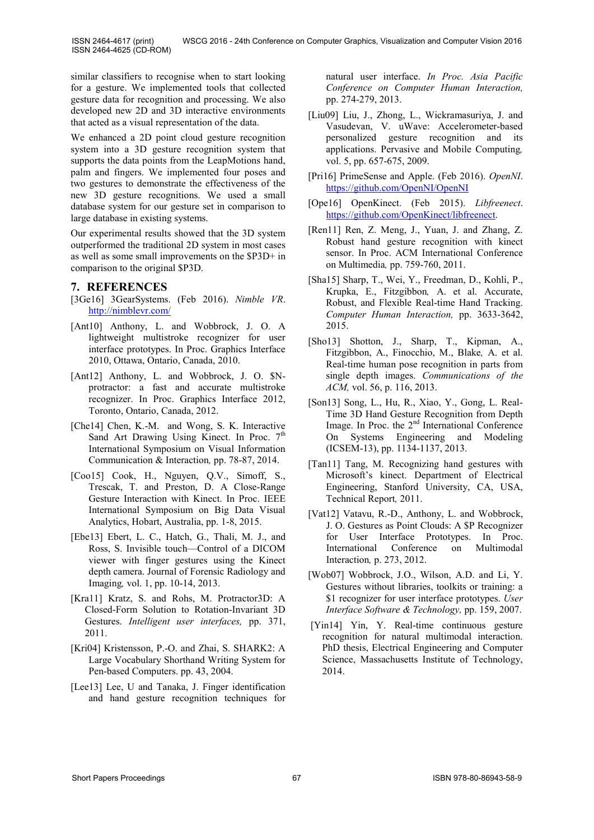similar classifiers to recognise when to start looking for a gesture. We implemented tools that collected gesture data for recognition and processing. We also developed new 2D and 3D interactive environments that acted as a visual representation of the data.

We enhanced a 2D point cloud gesture recognition system into a 3D gesture recognition system that supports the data points from the LeapMotions hand, palm and fingers. We implemented four poses and two gestures to demonstrate the effectiveness of the new 3D gesture recognitions. We used a small database system for our gesture set in comparison to large database in existing systems.

Our experimental results showed that the 3D system outperformed the traditional 2D system in most cases as well as some small improvements on the \$P3D+ in comparison to the original \$P3D.

#### **7. REFERENCES**

- [3Ge16] 3GearSystems. (Feb 2016). *Nimble VR*. <http://nimblevr.com/>
- [Ant10] Anthony, L. and Wobbrock, J. O. A lightweight multistroke recognizer for user interface prototypes. In Proc. Graphics Interface 2010, Ottawa, Ontario, Canada, 2010.
- [Ant12] Anthony, L. and Wobbrock, J. O. \$Nprotractor: a fast and accurate multistroke recognizer. In Proc. Graphics Interface 2012, Toronto, Ontario, Canada, 2012.
- [Che14] Chen, K.-M. and Wong, S. K. Interactive Sand Art Drawing Using Kinect. In Proc.  $7<sup>th</sup>$ International Symposium on Visual Information Communication & Interaction*,* pp. 78-87, 2014.
- [Coo15] Cook, H., Nguyen, Q.V., Simoff, S., Trescak, T. and Preston, D. A Close-Range Gesture Interaction with Kinect. In Proc. IEEE International Symposium on Big Data Visual Analytics, Hobart, Australia, pp. 1-8, 2015.
- [Ebe13] Ebert, L. C., Hatch, G., Thali, M. J., and Ross, S. Invisible touch—Control of a DICOM viewer with finger gestures using the Kinect depth camera. Journal of Forensic Radiology and Imaging*,* vol. 1, pp. 10-14, 2013.
- [Kra11] Kratz, S. and Rohs, M. Protractor3D: A Closed-Form Solution to Rotation-Invariant 3D Gestures. *Intelligent user interfaces,* pp. 371, 2011.
- [Kri04] Kristensson, P.-O. and Zhai, S. SHARK2: A Large Vocabulary Shorthand Writing System for Pen-based Computers. pp. 43, 2004.
- [Lee13] Lee, U and Tanaka, J. Finger identification and hand gesture recognition techniques for

natural user interface. *In Proc. Asia Pacific Conference on Computer Human Interaction,*  pp. 274-279, 2013.

- [Liu09] Liu, J., Zhong, L., Wickramasuriya, J. and Vasudevan, V. uWave: Accelerometer-based personalized gesture recognition and its applications. Pervasive and Mobile Computing*,*  vol. 5, pp. 657-675, 2009.
- [Pri16] PrimeSense and Apple. (Feb 2016). *OpenNI*. <https://github.com/OpenNI/OpenNI>
- [Ope16] OpenKinect. (Feb 2015). *Libfreenect*. [https://github.com/OpenKinect/libfreenect.](https://github.com/OpenKinect/libfreenect)
- [Ren11] Ren, Z. Meng, J., Yuan, J. and Zhang, Z. Robust hand gesture recognition with kinect sensor. In Proc. ACM International Conference on Multimedia*,* pp. 759-760, 2011.
- [Sha15] Sharp, T., Wei, Y., Freedman, D., Kohli, P., Krupka, E., Fitzgibbon*,* A. et al. Accurate, Robust, and Flexible Real-time Hand Tracking. *Computer Human Interaction,* pp. 3633-3642, 2015.
- [Sho13] Shotton, J., Sharp, T., Kipman, A., Fitzgibbon, A., Finocchio, M., Blake*,* A. et al. Real-time human pose recognition in parts from single depth images. *Communications of the ACM,* vol. 56, p. 116, 2013.
- [Son13] Song, L., Hu, R., Xiao, Y., Gong, L. Real-Time 3D Hand Gesture Recognition from Depth Image. In Proc. the 2<sup>nd</sup> International Conference On Systems Engineering and Modeling (ICSEM-13), pp. 1134-1137, 2013.
- [Tan11] Tang, M. Recognizing hand gestures with Microsoft's kinect. Department of Electrical Engineering, Stanford University, CA, USA, Technical Report*,* 2011.
- [Vat12] Vatavu, R.-D., Anthony, L. and Wobbrock, J. O. Gestures as Point Clouds: A \$P Recognizer for User Interface Prototypes. In Proc. International Conference on Multimodal Interaction*,* p. 273, 2012.
- [Wob07] Wobbrock, J.O., Wilson, A.D. and Li, Y. Gestures without libraries, toolkits or training: a \$1 recognizer for user interface prototypes. *User Interface Software & Technology,* pp. 159, 2007.
- [Yin14] Yin, Y. Real-time continuous gesture recognition for natural multimodal interaction. PhD thesis, Electrical Engineering and Computer Science, Massachusetts Institute of Technology, 2014.